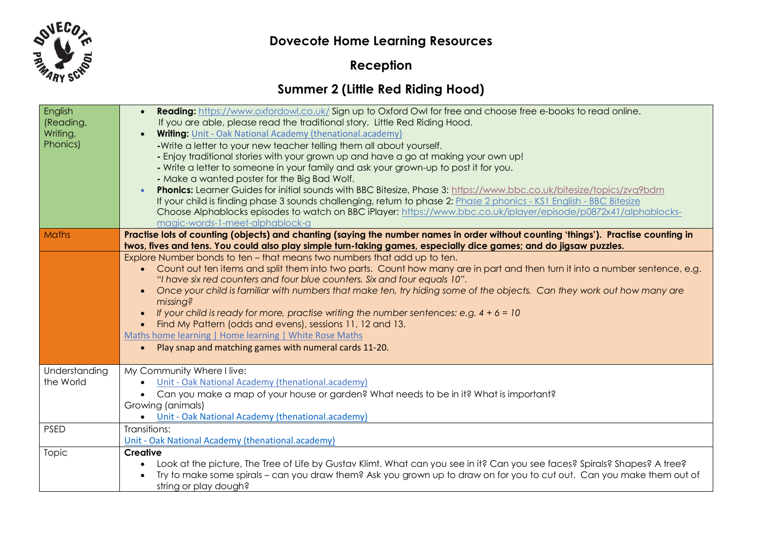

**Dovecote Home Learning Resources**

## **Reception**

## **Summer 2 (Little Red Riding Hood)**

| <b>Reading:</b> https://www.oxfordowl.co.uk/ Sign up to Oxford Owl for free and choose free e-books to read online.<br>$\bullet$<br>If you are able, please read the traditional story, Little Red Riding Hood.<br><b>Writing:</b> Unit - Oak National Academy (thenational.academy)<br>$\bullet$<br>-Write a letter to your new teacher telling them all about yourself.<br>- Enjoy traditional stories with your grown up and have a go at making your own up!<br>- Write a letter to someone in your family and ask your grown-up to post it for you.<br>- Make a wanted poster for the Big Bad Wolf.<br>Phonics: Learner Guides for initial sounds with BBC Bitesize, Phase 3: https://www.bbc.co.uk/bitesize/topics/zvq9bdm<br>If your child is finding phase 3 sounds challenging, return to phase 2: Phase 2 phonics - KS1 English - BBC Bitesize<br>Choose Alphablocks episodes to watch on BBC iPlayer: https://www.bbc.co.uk/iplayer/episode/p0872x41/alphablocks- |  |  |
|------------------------------------------------------------------------------------------------------------------------------------------------------------------------------------------------------------------------------------------------------------------------------------------------------------------------------------------------------------------------------------------------------------------------------------------------------------------------------------------------------------------------------------------------------------------------------------------------------------------------------------------------------------------------------------------------------------------------------------------------------------------------------------------------------------------------------------------------------------------------------------------------------------------------------------------------------------------------------|--|--|
| magic-words-1-meet-alphablock-a                                                                                                                                                                                                                                                                                                                                                                                                                                                                                                                                                                                                                                                                                                                                                                                                                                                                                                                                              |  |  |
| Practise lots of counting (objects) and chanting (saying the number names in order without counting 'things'). Practise counting in                                                                                                                                                                                                                                                                                                                                                                                                                                                                                                                                                                                                                                                                                                                                                                                                                                          |  |  |
| twos, fives and tens. You could also play simple turn-taking games, especially dice games; and do jigsaw puzzles.                                                                                                                                                                                                                                                                                                                                                                                                                                                                                                                                                                                                                                                                                                                                                                                                                                                            |  |  |
| Explore Number bonds to ten - that means two numbers that add up to ten.                                                                                                                                                                                                                                                                                                                                                                                                                                                                                                                                                                                                                                                                                                                                                                                                                                                                                                     |  |  |
| Count out ten items and split them into two parts. Count how many are in part and then turn it into a number sentence, e.g.<br>$\bullet$                                                                                                                                                                                                                                                                                                                                                                                                                                                                                                                                                                                                                                                                                                                                                                                                                                     |  |  |
| "I have six red counters and four blue counters. Six and four equals 10".<br>Once your child is familiar with numbers that make ten, try hiding some of the objects. Can they work out how many are<br>missing?                                                                                                                                                                                                                                                                                                                                                                                                                                                                                                                                                                                                                                                                                                                                                              |  |  |
|                                                                                                                                                                                                                                                                                                                                                                                                                                                                                                                                                                                                                                                                                                                                                                                                                                                                                                                                                                              |  |  |
| Find My Pattern (odds and evens), sessions 11, 12 and 13.<br>$\bullet$                                                                                                                                                                                                                                                                                                                                                                                                                                                                                                                                                                                                                                                                                                                                                                                                                                                                                                       |  |  |
| Maths home learning   Home learning   White Rose Maths                                                                                                                                                                                                                                                                                                                                                                                                                                                                                                                                                                                                                                                                                                                                                                                                                                                                                                                       |  |  |
| Play snap and matching games with numeral cards 11-20.<br>$\bullet$                                                                                                                                                                                                                                                                                                                                                                                                                                                                                                                                                                                                                                                                                                                                                                                                                                                                                                          |  |  |
|                                                                                                                                                                                                                                                                                                                                                                                                                                                                                                                                                                                                                                                                                                                                                                                                                                                                                                                                                                              |  |  |
| My Community Where I live:                                                                                                                                                                                                                                                                                                                                                                                                                                                                                                                                                                                                                                                                                                                                                                                                                                                                                                                                                   |  |  |
| Unit - Oak National Academy (thenational.academy)<br>$\bullet$                                                                                                                                                                                                                                                                                                                                                                                                                                                                                                                                                                                                                                                                                                                                                                                                                                                                                                               |  |  |
| Can you make a map of your house or garden? What needs to be in it? What is important?<br>$\bullet$                                                                                                                                                                                                                                                                                                                                                                                                                                                                                                                                                                                                                                                                                                                                                                                                                                                                          |  |  |
| Growing (animals)                                                                                                                                                                                                                                                                                                                                                                                                                                                                                                                                                                                                                                                                                                                                                                                                                                                                                                                                                            |  |  |
| Unit - Oak National Academy (thenational.academy)<br>$\bullet$                                                                                                                                                                                                                                                                                                                                                                                                                                                                                                                                                                                                                                                                                                                                                                                                                                                                                                               |  |  |
| Transitions:                                                                                                                                                                                                                                                                                                                                                                                                                                                                                                                                                                                                                                                                                                                                                                                                                                                                                                                                                                 |  |  |
| Unit - Oak National Academy (thenational.academy)                                                                                                                                                                                                                                                                                                                                                                                                                                                                                                                                                                                                                                                                                                                                                                                                                                                                                                                            |  |  |
| <b>Creative</b>                                                                                                                                                                                                                                                                                                                                                                                                                                                                                                                                                                                                                                                                                                                                                                                                                                                                                                                                                              |  |  |
| Look at the picture, The Tree of Life by Gustav Klimt. What can you see in it? Can you see faces? Spirals? Shapes? A tree?<br>$\bullet$<br>Try to make some spirals – can you draw them? Ask you grown up to draw on for you to cut out. Can you make them out of                                                                                                                                                                                                                                                                                                                                                                                                                                                                                                                                                                                                                                                                                                            |  |  |
| string or play dough?                                                                                                                                                                                                                                                                                                                                                                                                                                                                                                                                                                                                                                                                                                                                                                                                                                                                                                                                                        |  |  |
|                                                                                                                                                                                                                                                                                                                                                                                                                                                                                                                                                                                                                                                                                                                                                                                                                                                                                                                                                                              |  |  |